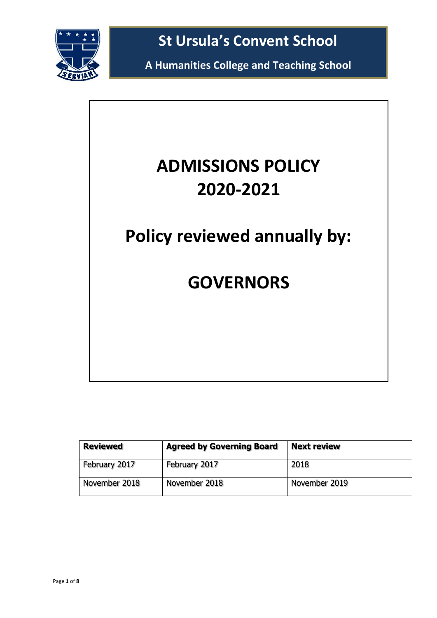

**A Humanities College and Teaching School**

# **ADMISSIONS POLICY 2020-2021**

**Policy reviewed annually by:**

# **GOVERNORS**

| <b>Reviewed</b> | <b>Agreed by Governing Board</b> | <b>Next review</b> |
|-----------------|----------------------------------|--------------------|
| February 2017   | February 2017                    | 2018               |
| November 2018   | November 2018                    | November 2019      |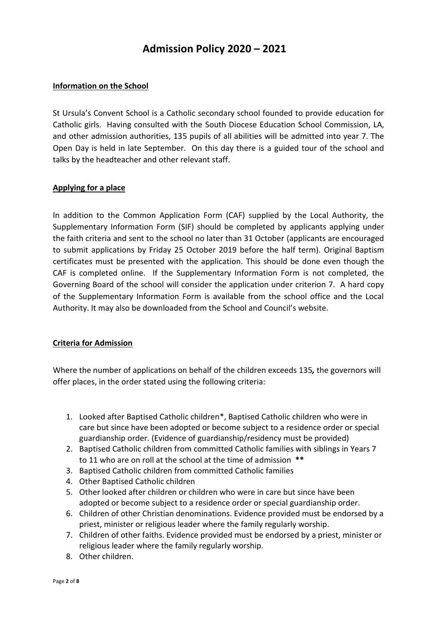# **Admission Policy 2020 – 2021**

#### **Information on the School**

St Ursula's Convent School is a Catholic secondary school founded to provide education for Catholic girls. Having consulted with the South Diocese Education School Commission, LA, and other admission authorities, 135 pupils of all abilities will be admitted into year 7. The Open Day is held in late September. On this day there is a guided tour of the school and talks by the headteacher and other relevant staff.

#### **Applying for a place**

In addition to the Common Application Form (CAF) supplied by the Local Authority, the Supplementary Information Form (SIF) should be completed by applicants applying under the faith criteria and sent to the school no later than 31 October (applicants are encouraged to submit applications by Friday 25 October 2019 before the half term). Original Baptism certificates must be presented with the application. This should be done even though the CAF is completed online. If the Supplementary Information Form is not completed, the Governing Board of the school will consider the application under criterion 7. A hard copy of the Supplementary Information Form is available from the school office and the Local Authority. It may also be downloaded from the School and Council's website.

#### **Criteria for Admission**

Where the number of applications on behalf of the children exceeds 135*,* the governors will offer places, in the order stated using the following criteria:

- 1. Looked after Baptised Catholic children\*, Baptised Catholic children who were in care but since have been adopted or become subject to a residence order or special guardianship order. (Evidence of guardianship/residency must be provided)
- 2. Baptised Catholic children from committed Catholic families with siblings in Years 7 to 11 who are on roll at the school at the time of admission **\*\***
- 3. Baptised Catholic children from committed Catholic families
- 4. Other Baptised Catholic children
- 5. Other looked after children or children who were in care but since have been adopted or become subject to a residence order or special guardianship order.
- 6. Children of other Christian denominations. Evidence provided must be endorsed by a priest, minister or religious leader where the family regularly worship.
- 7. Children of other faiths. Evidence provided must be endorsed by a priest, minister or religious leader where the family regularly worship.
- 8. Other children.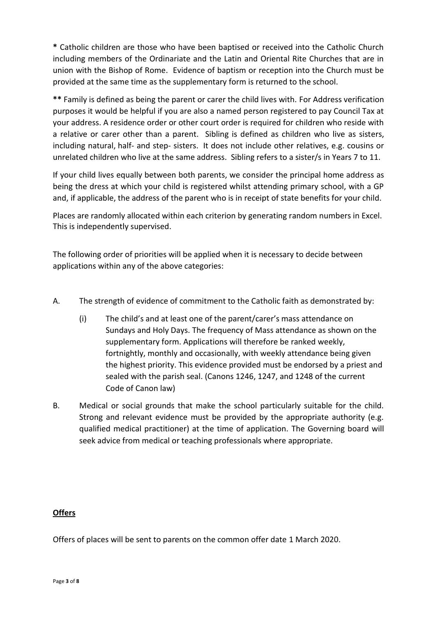**\*** Catholic children are those who have been baptised or received into the Catholic Church including members of the Ordinariate and the Latin and Oriental Rite Churches that are in union with the Bishop of Rome. Evidence of baptism or reception into the Church must be provided at the same time as the supplementary form is returned to the school.

**\*\*** Family is defined as being the parent or carer the child lives with. For Address verification purposes it would be helpful if you are also a named person registered to pay Council Tax at your address. A residence order or other court order is required for children who reside with a relative or carer other than a parent. Sibling is defined as children who live as sisters, including natural, half- and step- sisters. It does not include other relatives, e.g. cousins or unrelated children who live at the same address. Sibling refers to a sister/s in Years 7 to 11.

If your child lives equally between both parents, we consider the principal home address as being the dress at which your child is registered whilst attending primary school, with a GP and, if applicable, the address of the parent who is in receipt of state benefits for your child.

Places are randomly allocated within each criterion by generating random numbers in Excel. This is independently supervised.

The following order of priorities will be applied when it is necessary to decide between applications within any of the above categories:

- A. The strength of evidence of commitment to the Catholic faith as demonstrated by:
	- (i) The child's and at least one of the parent/carer's mass attendance on Sundays and Holy Days. The frequency of Mass attendance as shown on the supplementary form. Applications will therefore be ranked weekly, fortnightly, monthly and occasionally, with weekly attendance being given the highest priority. This evidence provided must be endorsed by a priest and sealed with the parish seal. (Canons 1246, 1247, and 1248 of the current Code of Canon law)
- B. Medical or social grounds that make the school particularly suitable for the child. Strong and relevant evidence must be provided by the appropriate authority (e.g. qualified medical practitioner) at the time of application. The Governing board will seek advice from medical or teaching professionals where appropriate.

### **Offers**

Offers of places will be sent to parents on the common offer date 1 March 2020.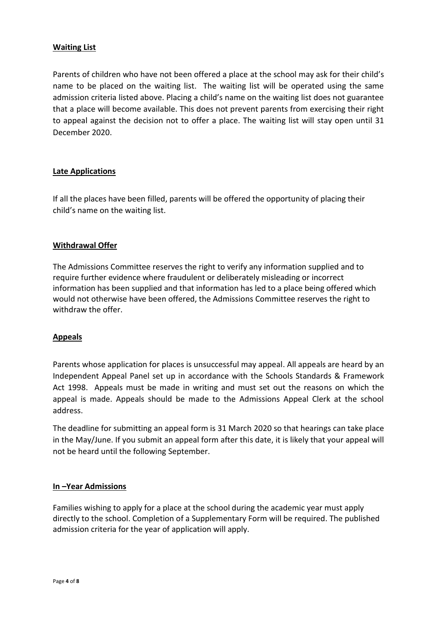#### **Waiting List**

Parents of children who have not been offered a place at the school may ask for their child's name to be placed on the waiting list. The waiting list will be operated using the same admission criteria listed above. Placing a child's name on the waiting list does not guarantee that a place will become available. This does not prevent parents from exercising their right to appeal against the decision not to offer a place. The waiting list will stay open until 31 December 2020.

#### **Late Applications**

If all the places have been filled, parents will be offered the opportunity of placing their child's name on the waiting list.

#### **Withdrawal Offer**

The Admissions Committee reserves the right to verify any information supplied and to require further evidence where fraudulent or deliberately misleading or incorrect information has been supplied and that information has led to a place being offered which would not otherwise have been offered, the Admissions Committee reserves the right to withdraw the offer.

#### **Appeals**

Parents whose application for places is unsuccessful may appeal. All appeals are heard by an Independent Appeal Panel set up in accordance with the Schools Standards & Framework Act 1998. Appeals must be made in writing and must set out the reasons on which the appeal is made. Appeals should be made to the Admissions Appeal Clerk at the school address.

The deadline for submitting an appeal form is 31 March 2020 so that hearings can take place in the May/June. If you submit an appeal form after this date, it is likely that your appeal will not be heard until the following September.

#### **In –Year Admissions**

Families wishing to apply for a place at the school during the academic year must apply directly to the school. Completion of a Supplementary Form will be required. The published admission criteria for the year of application will apply.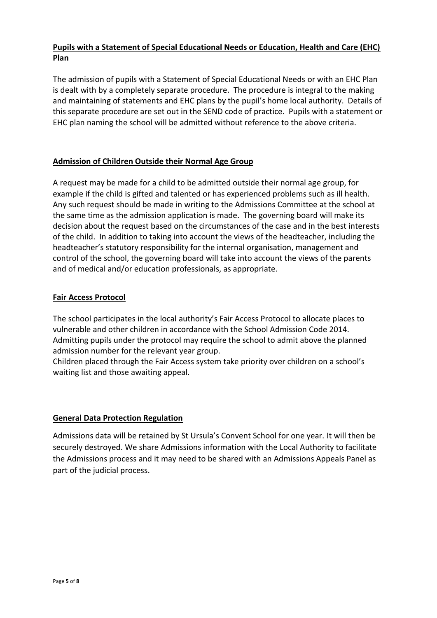## **Pupils with a Statement of Special Educational Needs or Education, Health and Care (EHC) Plan**

The admission of pupils with a Statement of Special Educational Needs or with an EHC Plan is dealt with by a completely separate procedure. The procedure is integral to the making and maintaining of statements and EHC plans by the pupil's home local authority. Details of this separate procedure are set out in the SEND code of practice. Pupils with a statement or EHC plan naming the school will be admitted without reference to the above criteria.

#### **Admission of Children Outside their Normal Age Group**

A request may be made for a child to be admitted outside their normal age group, for example if the child is gifted and talented or has experienced problems such as ill health. Any such request should be made in writing to the Admissions Committee at the school at the same time as the admission application is made. The governing board will make its decision about the request based on the circumstances of the case and in the best interests of the child. In addition to taking into account the views of the headteacher, including the headteacher's statutory responsibility for the internal organisation, management and control of the school, the governing board will take into account the views of the parents and of medical and/or education professionals, as appropriate.

#### **Fair Access Protocol**

The school participates in the local authority's Fair Access Protocol to allocate places to vulnerable and other children in accordance with the School Admission Code 2014. Admitting pupils under the protocol may require the school to admit above the planned admission number for the relevant year group.

Children placed through the Fair Access system take priority over children on a school's waiting list and those awaiting appeal.

#### **General Data Protection Regulation**

Admissions data will be retained by St Ursula's Convent School for one year. It will then be securely destroyed. We share Admissions information with the Local Authority to facilitate the Admissions process and it may need to be shared with an Admissions Appeals Panel as part of the judicial process.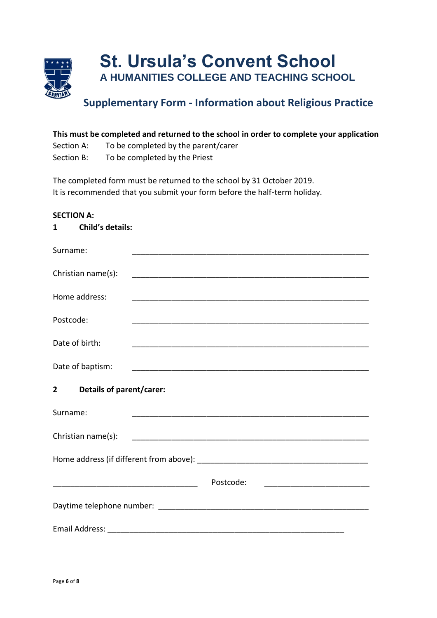

# **Supplementary Form - Information about Religious Practice**

| This must be completed and returned to the school in order to complete your application |                                     |  |  |  |  |
|-----------------------------------------------------------------------------------------|-------------------------------------|--|--|--|--|
| Section A:                                                                              | To be completed by the parent/carer |  |  |  |  |
| Section B:                                                                              | To be completed by the Priest       |  |  |  |  |

The completed form must be returned to the school by 31 October 2019. It is recommended that you submit your form before the half-term holiday.

#### **SECTION A:**

## **1 Child's details:**

| Surname:                                          |           |
|---------------------------------------------------|-----------|
| Christian name(s):                                |           |
| Home address:                                     |           |
| Postcode:                                         |           |
| Date of birth:                                    |           |
| Date of baptism:                                  |           |
| <b>Details of parent/carer:</b><br>$\overline{2}$ |           |
| Surname:                                          |           |
| Christian name(s):                                |           |
|                                                   |           |
|                                                   | Postcode: |
|                                                   |           |
|                                                   |           |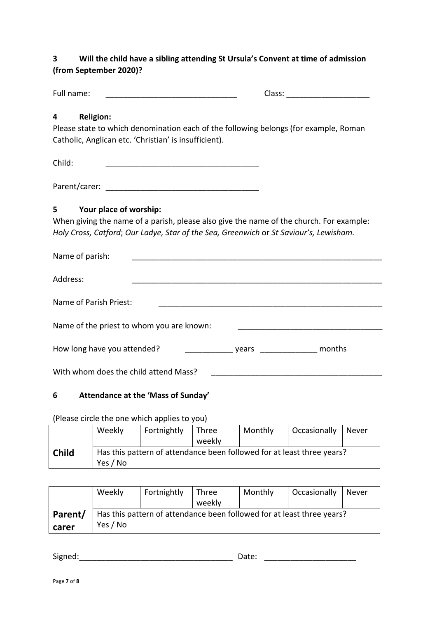# **3 Will the child have a sibling attending St Ursula's Convent at time of admission (from September 2020)?**

| Full name:<br><u> 1980 - Johann Barn, mars ann an t-Amhain Aonaich an t-Aonaich an t-Aonaich an t-Aonaich an t-Aonaich an t-Aon</u> |                                                                                                                      |  |  |
|-------------------------------------------------------------------------------------------------------------------------------------|----------------------------------------------------------------------------------------------------------------------|--|--|
| <b>Religion:</b><br>4                                                                                                               |                                                                                                                      |  |  |
| Please state to which denomination each of the following belongs (for example, Roman                                                |                                                                                                                      |  |  |
| Catholic, Anglican etc. 'Christian' is insufficient).                                                                               |                                                                                                                      |  |  |
|                                                                                                                                     |                                                                                                                      |  |  |
| Child:<br><u> 1980 - Jan James James Barnett, fransk politik (d. 1980)</u>                                                          |                                                                                                                      |  |  |
|                                                                                                                                     |                                                                                                                      |  |  |
| 5<br>Your place of worship:                                                                                                         |                                                                                                                      |  |  |
| When giving the name of a parish, please also give the name of the church. For example:                                             |                                                                                                                      |  |  |
| Holy Cross, Catford; Our Ladye, Star of the Sea, Greenwich or St Saviour's, Lewisham.                                               |                                                                                                                      |  |  |
| Name of parish:                                                                                                                     |                                                                                                                      |  |  |
| Address:<br><u> 2000 - Jan James James Barnett, amerikan basar dan bagi dan bagi dan bagi dan bagi dan bagi dan bagi dan bagi </u>  |                                                                                                                      |  |  |
| Name of Parish Priest:                                                                                                              |                                                                                                                      |  |  |
| Name of the priest to whom you are known:                                                                                           |                                                                                                                      |  |  |
| How long have you attended?                                                                                                         | vears ___________ months                                                                                             |  |  |
|                                                                                                                                     |                                                                                                                      |  |  |
| With whom does the child attend Mass?                                                                                               | <u> 1980 - Jan James James Barnett, amerikan basar pada 2000 - Jan Jawa Barnett, pada 2001 - Jan Jawa Barnett, a</u> |  |  |
| Attendance at the 'Mass of Sunday'<br>6                                                                                             |                                                                                                                      |  |  |

### (Please circle the one which applies to you)

|              | Weekly   | Fortnightly | <b>Three</b><br>weekly | Monthly | Occasionally                                                           | Never |
|--------------|----------|-------------|------------------------|---------|------------------------------------------------------------------------|-------|
| <b>Child</b> | Yes / No |             |                        |         | Has this pattern of attendance been followed for at least three years? |       |

|         | Weekly                                                                 | Fortnightly | Three  | Monthly | Occasionally | Never |  |
|---------|------------------------------------------------------------------------|-------------|--------|---------|--------------|-------|--|
|         |                                                                        |             | weekly |         |              |       |  |
| Parent/ | Has this pattern of attendance been followed for at least three years? |             |        |         |              |       |  |
| carer   | Yes / No                                                               |             |        |         |              |       |  |

Signed:\_\_\_\_\_\_\_\_\_\_\_\_\_\_\_\_\_\_\_\_\_\_\_\_\_\_\_\_\_\_\_\_\_\_\_ Date: \_\_\_\_\_\_\_\_\_\_\_\_\_\_\_\_\_\_\_\_\_